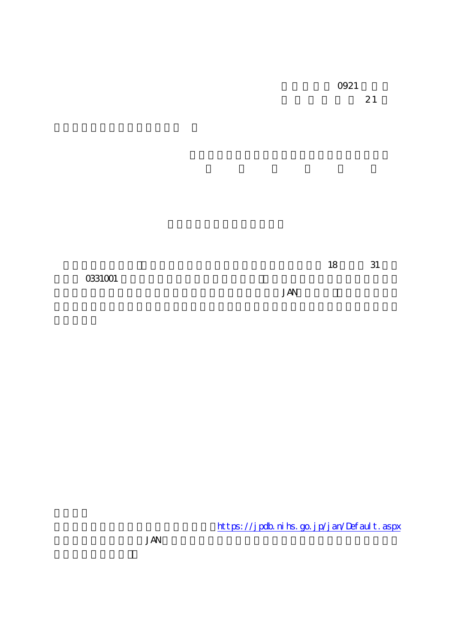**JAN** 

https://jpdb.nihs.go.jp/jan/Default.aspx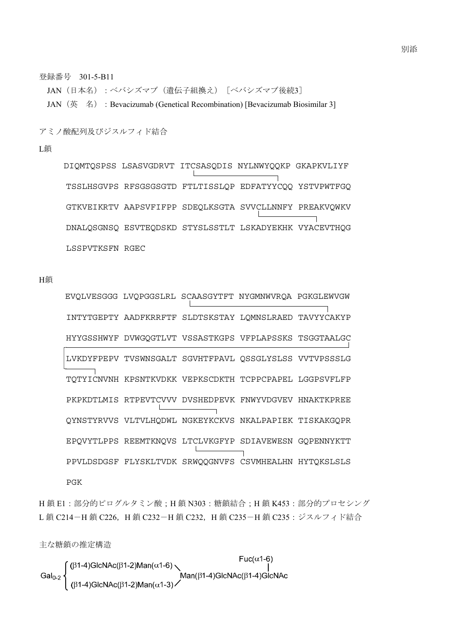登録番号 301-5-B11

JAN (日本名):ベバシズマブ(遺伝子組換え)[ベバシズマブ後続3] JAN (英 名): Bevacizumab (Genetical Recombination) [Bevacizumab Biosimilar 3]

アミノ酸配列及びジスルフィド結合

L鎖

DIQMTQSPSS LSASVGDRVT ITCSASQDIS NYLNWYQQKP GKAPKVLIYF TSSLHSGVPS RFSGSGSGTD FTLTISSLQP EDFATYYCQQ YSTVPWTFGQ GTKVEIKRTV AAPSVFIFPP SDEQLKSGTA SVVCLLNNFY PREAKVQWKV DNALQSGNSQ ESVTEQDSKD STYSLSSTLT LSKADYEKHK VYACEVTHQG LSSPVTKSFN RGEC

H鎖

 EVQLVESGGG LVQPGGSLRL SCAASGYTFT NYGMNWVRQA PGKGLEWVGW INTYTGEPTY AADFKRRFTF SLDTSKSTAY LQMNSLRAED TAVYYCAKYP HYYGSSHWYF DVWGQGTLVT VSSASTKGPS VFPLAPSSKS TSGGTAALGC LVKDYFPEPV TVSWNSGALT SGVHTFPAVL QSSGLYSLSS VVTVPSSSLG TQTYICNVNH KPSNTKVDKK VEPKSCDKTH TCPPCPAPEL LGGPSVFLFP PKPKDTLMIS RTPEVTCVVV DVSHEDPEVK FNWYVDGVEV HNAKTKPREE QYNSTYRVVS VLTVLHQDWL NGKEYKCKVS NKALPAPIEK TISKAKGQPR EPQVYTLPPS REEMTKNQVS LTCLVKGFYP SDIAVEWESN GQPENNYKTT PPVLDSDGSF FLYSKLTVDK SRWQQGNVFS CSVMHEALHN HYTQKSLSLS PGK

H鎖 E1: 部分的ピログルタミン酸; H鎖 N303: 糖鎖結合; H鎖 K453: 部分的プロセシング L鎖 C214-H鎖 C226, H鎖 C232-H鎖 C232, H鎖 C235-H鎖 C235: ジスルフィド結合

主な糖鎖の推定構造

$$
\text{Gal}_{0\text{-}2}\left\{\begin{array}{l}(\beta 1\text{-}4)\text{GlcNAc}(\beta 1\text{-}2)\text{Man}(\alpha 1\text{-}6)\\ \text{Gal}_{0\text{-}2}\left\{\begin{array}{l}(\beta 1\text{-}4)\text{GlcNAc}(\beta 1\text{-}2)\text{Man}(\alpha 1\text{-}6)\\ (\beta 1\text{-}4)\text{GlcNAc}(\beta 1\text{-}2)\text{Man}(\alpha 1\text{-}3)\end{array}\right.\right.\text{Max}(\beta 1\text{-}4)\text{GlcNAc}(\beta 1\text{-}4)\text{GLNAc}(\beta 1\text{-}4)\text{GLNAc}(\beta 1\text{-}4)\text{GLNAc}(\beta 1\text{-}4)\text{GLNAc}(\beta 1\text{-}4)\text{GLNAc}(\beta 1\text{-}4)\text{GLNAc}(\beta 1\text{-}4)\text{GLNAc}(\beta 1\text{-}4)\text{GLNAc}(\beta 1\text{-}4)\text{GLNAc}(\beta 1\text{-}4)\text{GLNAc}(\beta 1\text{-}4)\text{GLNAc}(\beta 1\text{-}4)\text{GLNAc}(\beta 1\text{-}4)\text{GLNAc}(\beta 1\text{-}4)\text{GLNAc}(\beta 1\text{-}4)\text{GLNAc}(\beta 1\text{-}4)\text{GLNAc}(\beta 1\text{-}4)\text{GLNAc}(\beta 1\text{-}4)\text{GLNAc}(\beta 1\text{-}4)\text{GLNAc}(\beta 1\text{-}4)\text{GLNAc}(\beta 1\text{-}4)\text{GLNAc}(\beta 1\text{-}4)\text{GLNAc}(\beta 1\text{-}4)\text{GLNAc}(\beta 1\text{-}4)\text{GLNAc}(\beta 1\text{-}4)\text{GLNAc}(\beta 1\text{-}4)\text{GLNAc}(\beta 1\text{-}4)\text{GLNAc}(\beta 1\text{-}4)\text{GLNAc}(\beta 1\text{-}4)\text{GLNAc}(\beta 1\text{-}4)\text{GLNAc}(\beta 1\text{-}4)\text{GLNAc}(\beta 1\text{-}4)\text{GLNAc}(\beta 1\text{-}4)\text{GLNAc}(\beta 1\text{-}4)\text{GLNAc}(\beta 1\text{-}4)\text{GLNAc}(\beta 1
$$